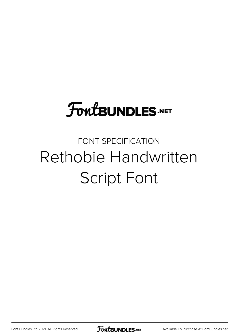## **FoutBUNDLES.NET**

## FONT SPECIFICATION Rethobie Handwritten Script Font

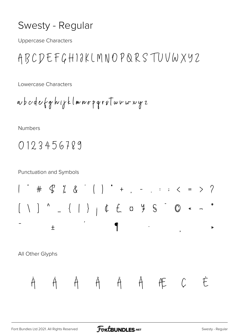## Swesty - Regular

**Uppercase Characters** 

ABCDEFGHIOKLMNOPQRSTUVWXYZ

Lowercase Characters

Numbers

0123456789

**Punctuation and Symbols** 

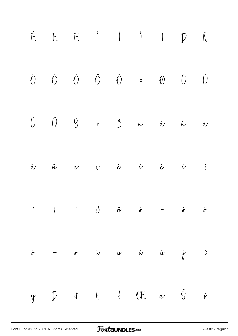